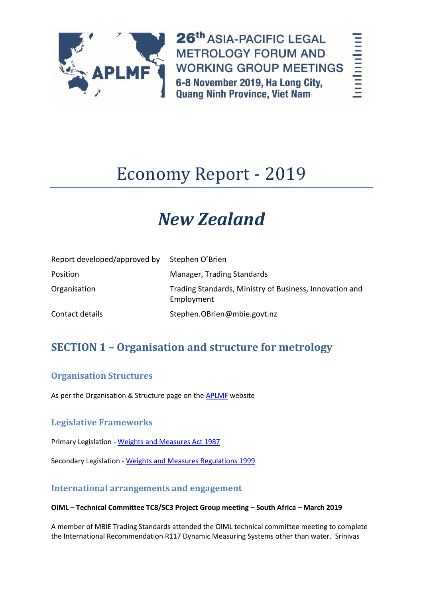

26th ASIA-PACIFIC LEGAL **METROLOGY FORUM AND WORKING GROUP MEETINGS** 6-8 November 2019, Ha Long City, **Quang Ninh Province, Viet Nam** 

hodoolool

# Economy Report - 2019

# *New Zealand*

| Report developed/approved by | Stephen O'Brien                                                       |
|------------------------------|-----------------------------------------------------------------------|
| Position                     | Manager, Trading Standards                                            |
| Organisation                 | Trading Standards, Ministry of Business, Innovation and<br>Employment |
| Contact details              | Stephen.OBrien@mbie.govt.nz                                           |

# **SECTION 1 – Organisation and structure for metrology**

## **Organisation Structures**

As per the Organisation & Structure page on the [APLMF](file://///wd.govt.nz/dfs/personal/homedrive/WNI2/Sorrelp/My%20Documents/APLMF/APLMF%20Vietnam%202019/APLMF) website

## **Legislative Frameworks**

Primary Legislation - [Weights and Measures Act 1987](file:///C:/Users/obriens2/AppData/Local/Microsoft/Windows/Temporary%20Internet%20Files/Content.Outlook/WT3J5G1R/Weights%20and%20Measures%20Act%201987)

Secondary Legislation - [Weights and Measures Regulations 1999](file:///C:/Users/obriens2/AppData/Local/Microsoft/Windows/Temporary%20Internet%20Files/Content.Outlook/WT3J5G1R/Weights%20and%20Measures%20Regulations%201999)

## **International arrangements and engagement**

#### **OIML – Technical Committee TC8/SC3 Project Group meeting – South Africa – March 2019**

A member of MBIE Trading Standards attended the OIML technical committee meeting to complete the International Recommendation R117 Dynamic Measuring Systems other than water. Srinivas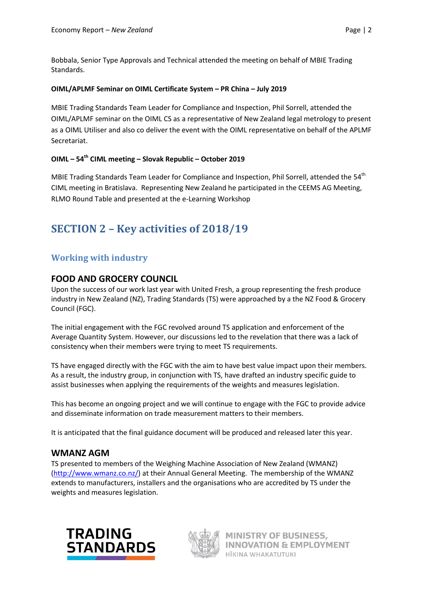Bobbala, Senior Type Approvals and Technical attended the meeting on behalf of MBIE Trading Standards.

#### **OIML/APLMF Seminar on OIML Certificate System – PR China – July 2019**

MBIE Trading Standards Team Leader for Compliance and Inspection, Phil Sorrell, attended the OIML/APLMF seminar on the OIML CS as a representative of New Zealand legal metrology to present as a OIML Utiliser and also co deliver the event with the OIML representative on behalf of the APLMF Secretariat.

#### **OIML – 54th CIML meeting – Slovak Republic – October 2019**

MBIE Trading Standards Team Leader for Compliance and Inspection, Phil Sorrell, attended the 54<sup>th</sup> CIML meeting in Bratislava. Representing New Zealand he participated in the CEEMS AG Meeting, RLMO Round Table and presented at the e-Learning Workshop

## **SECTION 2 – Key activities of 2018/19**

## **Working with industry**

#### **FOOD AND GROCERY COUNCIL**

Upon the success of our work last year with United Fresh, a group representing the fresh produce industry in New Zealand (NZ), Trading Standards (TS) were approached by a the NZ Food & Grocery Council (FGC).

The initial engagement with the FGC revolved around TS application and enforcement of the Average Quantity System. However, our discussions led to the revelation that there was a lack of consistency when their members were trying to meet TS requirements.

TS have engaged directly with the FGC with the aim to have best value impact upon their members. As a result, the industry group, in conjunction with TS, have drafted an industry specific guide to assist businesses when applying the requirements of the weights and measures legislation.

This has become an ongoing project and we will continue to engage with the FGC to provide advice and disseminate information on trade measurement matters to their members.

It is anticipated that the final guidance document will be produced and released later this year.

#### **WMANZ AGM**

TS presented to members of the Weighing Machine Association of New Zealand (WMANZ) [\(http://www.wmanz.co.nz/\)](http://www.wmanz.co.nz/) at their Annual General Meeting. The membership of the WMANZ extends to manufacturers, installers and the organisations who are accredited by TS under the weights and measures legislation.



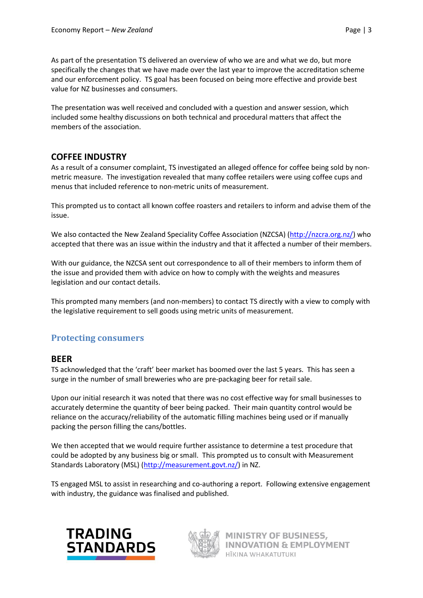As part of the presentation TS delivered an overview of who we are and what we do, but more specifically the changes that we have made over the last year to improve the accreditation scheme and our enforcement policy. TS goal has been focused on being more effective and provide best value for NZ businesses and consumers.

The presentation was well received and concluded with a question and answer session, which included some healthy discussions on both technical and procedural matters that affect the members of the association.

## **COFFEE INDUSTRY**

As a result of a consumer complaint, TS investigated an alleged offence for coffee being sold by nonmetric measure. The investigation revealed that many coffee retailers were using coffee cups and menus that included reference to non-metric units of measurement.

This prompted us to contact all known coffee roasters and retailers to inform and advise them of the issue.

We also contacted the New Zealand Speciality Coffee Association (NZCSA) [\(http://nzcra.org.nz/\)](http://nzcra.org.nz/) who accepted that there was an issue within the industry and that it affected a number of their members.

With our guidance, the NZCSA sent out correspondence to all of their members to inform them of the issue and provided them with advice on how to comply with the weights and measures legislation and our contact details.

This prompted many members (and non-members) to contact TS directly with a view to comply with the legislative requirement to sell goods using metric units of measurement.

## **Protecting consumers**

#### **BEER**

TS acknowledged that the 'craft' beer market has boomed over the last 5 years. This has seen a surge in the number of small breweries who are pre-packaging beer for retail sale.

Upon our initial research it was noted that there was no cost effective way for small businesses to accurately determine the quantity of beer being packed. Their main quantity control would be reliance on the accuracy/reliability of the automatic filling machines being used or if manually packing the person filling the cans/bottles.

We then accepted that we would require further assistance to determine a test procedure that could be adopted by any business big or small. This prompted us to consult with Measurement Standards Laboratory (MSL) [\(http://measurement.govt.nz/\)](http://measurement.govt.nz/) in NZ.

TS engaged MSL to assist in researching and co-authoring a report. Following extensive engagement with industry, the guidance was finalised and published.



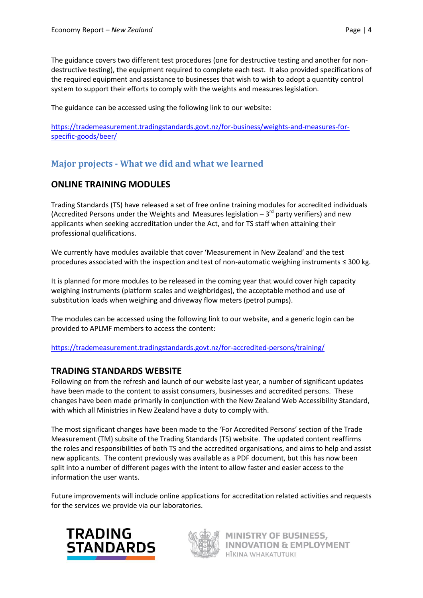The guidance covers two different test procedures (one for destructive testing and another for nondestructive testing), the equipment required to complete each test. It also provided specifications of the required equipment and assistance to businesses that wish to wish to adopt a quantity control system to support their efforts to comply with the weights and measures legislation.

The guidance can be accessed using the following link to our website:

[https://trademeasurement.tradingstandards.govt.nz/for-business/weights-and-measures-for](https://trademeasurement.tradingstandards.govt.nz/for-business/weights-and-measures-for-specific-goods/beer/)[specific-goods/beer/](https://trademeasurement.tradingstandards.govt.nz/for-business/weights-and-measures-for-specific-goods/beer/)

## **Major projects - What we did and what we learned**

## **ONLINE TRAINING MODULES**

Trading Standards (TS) have released a set of free online training modules for accredited individuals (Accredited Persons under the Weights and Measures legislation  $-3<sup>rd</sup>$  party verifiers) and new applicants when seeking accreditation under the Act, and for TS staff when attaining their professional qualifications.

We currently have modules available that cover 'Measurement in New Zealand' and the test procedures associated with the inspection and test of non-automatic weighing instruments ≤ 300 kg.

It is planned for more modules to be released in the coming year that would cover high capacity weighing instruments (platform scales and weighbridges), the acceptable method and use of substitution loads when weighing and driveway flow meters (petrol pumps).

The modules can be accessed using the following link to our website, and a generic login can be provided to APLMF members to access the content:

<https://trademeasurement.tradingstandards.govt.nz/for-accredited-persons/training/>

## **TRADING STANDARDS WEBSITE**

Following on from the refresh and launch of our website last year, a number of significant updates have been made to the content to assist consumers, businesses and accredited persons. These changes have been made primarily in conjunction with the New Zealand Web Accessibility Standard, with which all Ministries in New Zealand have a duty to comply with.

The most significant changes have been made to the 'For Accredited Persons' section of the Trade Measurement (TM) subsite of the Trading Standards (TS) website. The updated content reaffirms the roles and responsibilities of both TS and the accredited organisations, and aims to help and assist new applicants. The content previously was available as a PDF document, but this has now been split into a number of different pages with the intent to allow faster and easier access to the information the user wants.

Future improvements will include online applications for accreditation related activities and requests for the services we provide via our laboratories.



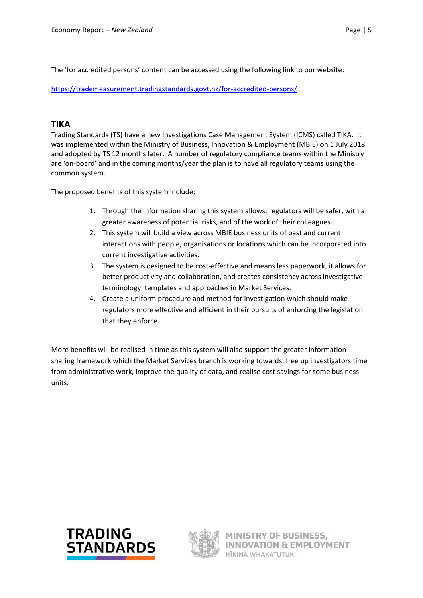The 'for accredited persons' content can be accessed using the following link to our website:

<https://trademeasurement.tradingstandards.govt.nz/for-accredited-persons/>

## **TIKA**

Trading Standards (TS) have a new Investigations Case Management System (ICMS) called TIKA. It was implemented within the Ministry of Business, Innovation & Employment (MBIE) on 1 July 2018 and adopted by TS 12 months later. A number of regulatory compliance teams within the Ministry are 'on-board' and in the coming months/year the plan is to have all regulatory teams using the common system.

The proposed benefits of this system include:

- 1. Through the information sharing this system allows, regulators will be safer, with a greater awareness of potential risks, and of the work of their colleagues.
- 2. This system will build a view across MBIE business units of past and current interactions with people, organisations or locations which can be incorporated into current investigative activities.
- 3. The system is designed to be cost-effective and means less paperwork, it allows for better productivity and collaboration, and creates consistency across investigative terminology, templates and approaches in Market Services.
- 4. Create a uniform procedure and method for investigation which should make regulators more effective and efficient in their pursuits of enforcing the legislation that they enforce.

More benefits will be realised in time as this system will also support the greater informationsharing framework which the Market Services branch is working towards, free up investigators time from administrative work, improve the quality of data, and realise cost savings for some business units.



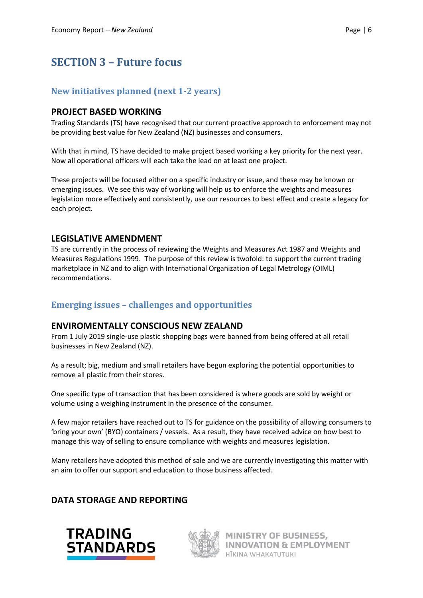# **SECTION 3 – Future focus**

## **New initiatives planned (next 1-2 years)**

## **PROJECT BASED WORKING**

Trading Standards (TS) have recognised that our current proactive approach to enforcement may not be providing best value for New Zealand (NZ) businesses and consumers.

With that in mind, TS have decided to make project based working a key priority for the next year. Now all operational officers will each take the lead on at least one project.

These projects will be focused either on a specific industry or issue, and these may be known or emerging issues. We see this way of working will help us to enforce the weights and measures legislation more effectively and consistently, use our resources to best effect and create a legacy for each project.

## **LEGISLATIVE AMENDMENT**

TS are currently in the process of reviewing the Weights and Measures Act 1987 and Weights and Measures Regulations 1999. The purpose of this review is twofold: to support the current trading marketplace in NZ and to align with International Organization of Legal Metrology (OIML) recommendations.

## **Emerging issues – challenges and opportunities**

#### **ENVIROMENTALLY CONSCIOUS NEW ZEALAND**

From 1 July 2019 single-use plastic shopping bags were banned from being offered at all retail businesses in New Zealand (NZ).

As a result; big, medium and small retailers have begun exploring the potential opportunities to remove all plastic from their stores.

One specific type of transaction that has been considered is where goods are sold by weight or volume using a weighing instrument in the presence of the consumer.

A few major retailers have reached out to TS for guidance on the possibility of allowing consumers to 'bring your own' (BYO) containers / vessels. As a result, they have received advice on how best to manage this way of selling to ensure compliance with weights and measures legislation.

Many retailers have adopted this method of sale and we are currently investigating this matter with an aim to offer our support and education to those business affected.

## **DATA STORAGE AND REPORTING**